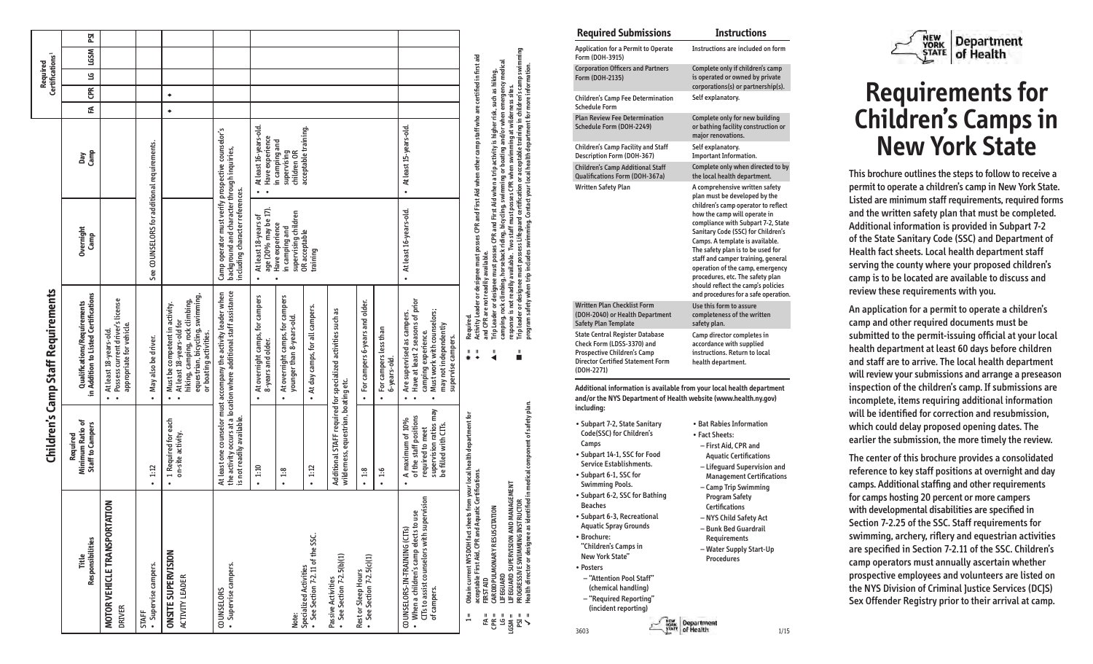|                                                                                                                                                                                                    |                                                                                                                               | Children's Camp Staff Requirements                                                                                                                                                                        |                                                                                                                                                                                                                                                                                                                              |                                              |   | Certifications <sup>1</sup> | <b>Required</b> |      |            |
|----------------------------------------------------------------------------------------------------------------------------------------------------------------------------------------------------|-------------------------------------------------------------------------------------------------------------------------------|-----------------------------------------------------------------------------------------------------------------------------------------------------------------------------------------------------------|------------------------------------------------------------------------------------------------------------------------------------------------------------------------------------------------------------------------------------------------------------------------------------------------------------------------------|----------------------------------------------|---|-----------------------------|-----------------|------|------------|
| <b>Responsibilities</b><br>Title                                                                                                                                                                   | Minimum Ratio of<br><b>Staff to Campers</b><br>Required                                                                       | in Addition to Listed Certifications<br>Qualifications/Requirements                                                                                                                                       | Overnight<br>Camp                                                                                                                                                                                                                                                                                                            | Camp<br>Day                                  | ₹ | CPR LG                      |                 | LGSM | <b>PSI</b> |
| MOTOR VEHICLE TRANSPORTATION<br><b>DRIVER</b>                                                                                                                                                      |                                                                                                                               | · Possess current driver's license<br>appropriate for vehicle.<br>• At least 18-years-old.                                                                                                                |                                                                                                                                                                                                                                                                                                                              |                                              |   |                             |                 |      |            |
| · Supervise campers.<br><b>STAFF</b>                                                                                                                                                               | .1:12                                                                                                                         | · May also be driver.                                                                                                                                                                                     | See COUNSELORS for additional requirements.                                                                                                                                                                                                                                                                                  |                                              |   |                             |                 |      |            |
| <b>ONSITE SUPERVISION</b><br>ACTIVITY LEADER                                                                                                                                                       | • 1 Required for each<br>on-site activity.                                                                                    | equestrian, bicycling, swimming,<br>hiking, camping, rock climbing,<br>Must be competent in activity.<br>• At least 18-years-old for<br>or boating activities.<br>$\ddot{\phantom{0}}$                    |                                                                                                                                                                                                                                                                                                                              |                                              | ٠ | $\bullet$                   |                 |      |            |
| · Supervise campers.<br><b>COUNSELORS</b>                                                                                                                                                          | is not readily available.                                                                                                     | the activity occurs at a location where additional staff assistance<br>At least one counselor must accompany the activity leader when                                                                     | Camp operator must verify prospective counselor's<br>background and character through inquiries,<br>including character references.                                                                                                                                                                                          |                                              |   |                             |                 |      |            |
|                                                                                                                                                                                                    | $\cdot$ 1:10                                                                                                                  | At overnight camps, for campers<br>8-years and older.                                                                                                                                                     | age (20% may be 17).<br>At least 18-years of<br>$\bullet$                                                                                                                                                                                                                                                                    | At least 16-years-old.<br>Have experience    |   |                             |                 |      |            |
| Note:                                                                                                                                                                                              | 1:8<br>$\bullet$                                                                                                              | At overnight camps, for campers<br>younger than 8-years-old.                                                                                                                                              | supervising children<br>Have experience<br>in camping and                                                                                                                                                                                                                                                                    | in camping and<br>supervising<br>children OR |   |                             |                 |      |            |
| • See Section 7-2.11 of the SSC.<br><b>Specialized Activities</b>                                                                                                                                  | $\cdot$ 1:12                                                                                                                  | At day camps, for all campers.                                                                                                                                                                            | OR acceptable<br>training                                                                                                                                                                                                                                                                                                    | acceptable training.                         |   |                             |                 |      |            |
| $\bullet$ See Section 7-2.5(b)(1)<br>Passive Activities                                                                                                                                            | wilderness, equestrian, boating etc.                                                                                          | Additional STAFF required for specialized activities such as                                                                                                                                              |                                                                                                                                                                                                                                                                                                                              |                                              |   |                             |                 |      |            |
| $\bullet$ See Section 7-2.5(c)(1)<br>Rest or Sleep Hours                                                                                                                                           | $\cdot$ 1:8                                                                                                                   | For campers 6-years and older.                                                                                                                                                                            |                                                                                                                                                                                                                                                                                                                              |                                              |   |                             |                 |      |            |
|                                                                                                                                                                                                    | $\cdot$ 1:6                                                                                                                   | • For campers less than<br>6-years-old.                                                                                                                                                                   |                                                                                                                                                                                                                                                                                                                              |                                              |   |                             |                 |      |            |
| CITs to assist counselors with supervision<br>• When a children's camp elects to use<br>COUNSELORS-IN-TRAINING (CITs)<br>of campers.                                                               | supervision ratios may<br>of the staff positions<br>A maximum of 10%<br>be filled with CITs.<br>required to meet<br>$\bullet$ | Have at least 2 seasons of prior<br>Must work with counselors;<br>Are supervised as campers.<br>may not independently<br>camping experience.<br>supervise campers.<br>$\bullet$<br>$\bullet$<br>$\bullet$ | • At least 16-years-old.                                                                                                                                                                                                                                                                                                     | • At least 15-years-old.                     |   |                             |                 |      |            |
| Obtain current NYSDOH fact sheets from your local health department for<br>acceptable First Aid, CPR and Aquatic Certifications.<br>$\frac{1}{1}$                                                  |                                                                                                                               | Required.<br>$\frac{1}{2}$<br>$\frac{1}{2}$                                                                                                                                                               | Activity Leader or designee must posses CPR and First Aid when other camp staff who are certified in first aid                                                                                                                                                                                                               |                                              |   |                             |                 |      |            |
| CARDIOPULMONARY RESUSCITATION<br>LIFEGUARD<br><b>FIRST AID</b><br>$CPR =$<br>= ئا<br>로<br>주                                                                                                        |                                                                                                                               | and CPR are not readily available.<br>$\ddot{\bullet}$                                                                                                                                                    | camping, rock climbing, horseback riding, bicycling, swimming or boating and/or when emergency medical<br>Trip Leader or designee must posses CPR and First Aid when a trip activity is higher risk, such as hiking,                                                                                                         |                                              |   |                             |                 |      |            |
| Health director or designee as identified in medical component of safety plan.<br>LIFEGUARD SUPERVISION AND MANAGEMENT<br>PROGRESSIVE SWIMMING INSTRUCTOR<br>$\frac{1}{2}$ $\frac{1}{2}$<br>= NSSN |                                                                                                                               | Ľ                                                                                                                                                                                                         | Trip leader or designee must possess Lifeguard certification or acceptable training in children's camp swimming<br>program safety when trip includes swimming. Contact your local health department for more information.<br>response is not readily available. Two staff must posses CPR when swimming at wilderness sites. |                                              |   |                             |                 |      |            |

| <b>Required Submissions</b>                                                                                                                                                                                                                                                                                                                                                                                                                                                      | <b>Instructions</b>                                                                                                                                                                                                                                                                                                                                                                                                                                                                    |
|----------------------------------------------------------------------------------------------------------------------------------------------------------------------------------------------------------------------------------------------------------------------------------------------------------------------------------------------------------------------------------------------------------------------------------------------------------------------------------|----------------------------------------------------------------------------------------------------------------------------------------------------------------------------------------------------------------------------------------------------------------------------------------------------------------------------------------------------------------------------------------------------------------------------------------------------------------------------------------|
| <b>Application for a Permit to Operate</b><br>Form (DOH-3915)                                                                                                                                                                                                                                                                                                                                                                                                                    | Instructions are included on form                                                                                                                                                                                                                                                                                                                                                                                                                                                      |
| <b>Corporation Officers and Partners</b><br>Form (DOH-2135)                                                                                                                                                                                                                                                                                                                                                                                                                      | Complete only if children's camp<br>is operated or owned by private<br>corporations(s) or partnership(s).                                                                                                                                                                                                                                                                                                                                                                              |
| <b>Children's Camp Fee Determination</b><br><b>Schedule Form</b>                                                                                                                                                                                                                                                                                                                                                                                                                 | Self explanatory.                                                                                                                                                                                                                                                                                                                                                                                                                                                                      |
| <b>Plan Review Fee Determination</b><br>Schedule Form (DOH-2249)                                                                                                                                                                                                                                                                                                                                                                                                                 | Complete only for new building<br>or bathing facility construction or<br>major renovations.                                                                                                                                                                                                                                                                                                                                                                                            |
| <b>Children's Camp Facility and Staff</b><br>Description Form (DOH-367)                                                                                                                                                                                                                                                                                                                                                                                                          | Self explanatory.<br><b>Important Information.</b>                                                                                                                                                                                                                                                                                                                                                                                                                                     |
| <b>Children's Camp Additional Staff</b><br>Qualifications Form (DOH-367a)                                                                                                                                                                                                                                                                                                                                                                                                        | Complete only when directed to by<br>the local health department.                                                                                                                                                                                                                                                                                                                                                                                                                      |
| Written Safety Plan                                                                                                                                                                                                                                                                                                                                                                                                                                                              | A comprehensive written safety<br>plan must be developed by the<br>children's camp operator to reflect<br>how the camp will operate in<br>compliance with Subpart 7-2, State<br>Sanitary Code (SSC) for Children's<br>Camps. A template is available.<br>The safety plan is to be used for<br>staff and camper training, general<br>operation of the camp, emergency<br>procedures, etc. The safety plan<br>should reflect the camp's policies<br>and procedures for a safe operation. |
| <b>Written Plan Checklist Form</b><br>(DOH-2040) or Health Department<br><b>Safety Plan Template</b>                                                                                                                                                                                                                                                                                                                                                                             | Use this form to assure<br>completeness of the written<br>safety plan.                                                                                                                                                                                                                                                                                                                                                                                                                 |
| <b>State Central Register Database</b><br>Check Form (LDSS-3370) and<br>Prospective Children's Camp<br><b>Director Certified Statement Form</b><br>(DOH-2271)                                                                                                                                                                                                                                                                                                                    | Camp director completes in<br>accordance with supplied<br>instructions. Return to local<br>health department.                                                                                                                                                                                                                                                                                                                                                                          |
| Additional information is available from your local health department<br>and/or the NYS Department of Health website (www.health.ny.gov)<br>including:                                                                                                                                                                                                                                                                                                                           |                                                                                                                                                                                                                                                                                                                                                                                                                                                                                        |
| • Subpart 7-2, State Sanitary<br>Code(SSC) for Children's<br>Camps<br>• Subpart 14-1, SSC for Food<br>Service Establishments.<br>• Subpart 6-1, SSC for<br><b>Swimming Pools.</b><br>• Subpart 6-2, SSC for Bathing<br><b>Beaches</b><br>· Subpart 6-3, Recreational<br><b>Aquatic Spray Grounds</b><br>• Brochure:<br>"Children's Camps in<br>New York State"<br>• Posters<br>- "Attention Pool Staff"<br>(chemical handling)<br>- "Required Reporting"<br>(incident reporting) | • Bat Rabies Information<br>• Fact Sheets:<br>– First Aid, CPR and<br><b>Aquatic Certifications</b><br>- Lifequard Supervision and<br><b>Management Certifications</b><br>- Camp Trip Swimming<br><b>Program Safety</b><br><b>Certifications</b><br>– NYS Child Safety Act<br>- Bunk Bed Guardrail<br>Requirements<br>- Water Supply Start-Up<br><b>Procedures</b>                                                                                                                     |
|                                                                                                                                                                                                                                                                                                                                                                                                                                                                                  | epartment                                                                                                                                                                                                                                                                                                                                                                                                                                                                              |
| 3603                                                                                                                                                                                                                                                                                                                                                                                                                                                                             | of Health<br>1/15                                                                                                                                                                                                                                                                                                                                                                                                                                                                      |



## **Requirements for Children's Camps in New York State**

This brochure outlines the steps to follow to receive a permit to operate a children's camp in New York State. Listed are minimum staff requirements, required forms and the written safety plan that must be completed. Additional information is provided in Subpart 7-2 of the State Sanitary Code (SSC) and Department of Health fact sheets. Local health department staff serving the county where your proposed children's camp is to be located are available to discuss and review these requirements with you.

An application for a permit to operate a children's camp and other required documents must be submitted to the permit-issuing official at your local health department at least 60 days before children and staff are to arrive. The local health department will review your submissions and arrange a preseason inspection of the children's camp. If submissions are incomplete, items requiring additional information will be identified for correction and resubmission, which could delay proposed opening dates. The earlier the submission, the more timely the review.

The center of this brochure provides a consolidated reference to key staff positions at overnight and day camps. Additional staffing and other requirements for camps hosting 20 percent or more campers with developmental disabilities are specified in Section 7-2.25 of the SSC. Staff requirements for swimming, archery, riflery and equestrian activities are specified in Section 7-2.11 of the SSC. Children's camp operators must annually ascertain whether prospective employees and volunteers are listed on the NYS Division of Criminal Justice Services (DCJS) Sex Offender Registry prior to their arrival at camp.